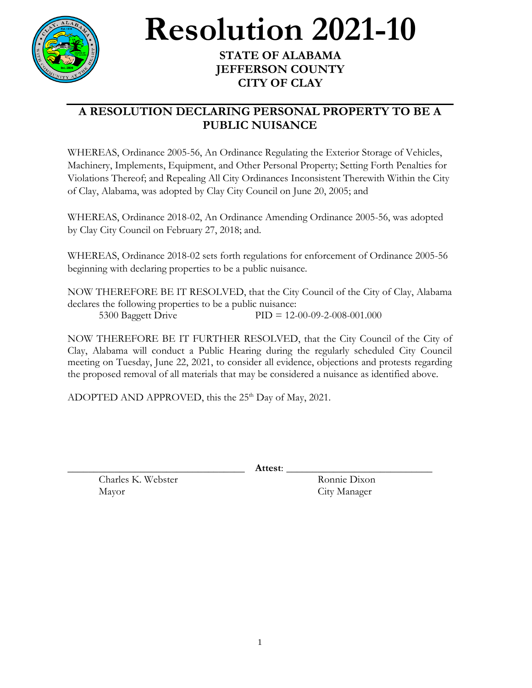

## **Resolution 2021-10**

## **STATE OF ALABAMA JEFFERSON COUNTY CITY OF CLAY**

## **A RESOLUTION DECLARING PERSONAL PROPERTY TO BE A PUBLIC NUISANCE**

WHEREAS, Ordinance 2005-56, An Ordinance Regulating the Exterior Storage of Vehicles, Machinery, Implements, Equipment, and Other Personal Property; Setting Forth Penalties for Violations Thereof; and Repealing All City Ordinances Inconsistent Therewith Within the City of Clay, Alabama, was adopted by Clay City Council on June 20, 2005; and

WHEREAS, Ordinance 2018-02, An Ordinance Amending Ordinance 2005-56, was adopted by Clay City Council on February 27, 2018; and.

WHEREAS, Ordinance 2018-02 sets forth regulations for enforcement of Ordinance 2005-56 beginning with declaring properties to be a public nuisance.

NOW THEREFORE BE IT RESOLVED, that the City Council of the City of Clay, Alabama declares the following properties to be a public nuisance: 5300 Baggett Drive PID = 12-00-09-2-008-001.000

NOW THEREFORE BE IT FURTHER RESOLVED, that the City Council of the City of Clay, Alabama will conduct a Public Hearing during the regularly scheduled City Council meeting on Tuesday, June 22, 2021, to consider all evidence, objections and protests regarding the proposed removal of all materials that may be considered a nuisance as identified above.

ADOPTED AND APPROVED, this the  $25<sup>th</sup>$  Day of May, 2021.

\_\_\_\_\_\_\_\_\_\_\_\_\_\_\_\_\_\_\_\_\_\_\_\_\_\_\_\_\_\_\_\_\_\_ **Attest**: \_\_\_\_\_\_\_\_\_\_\_\_\_\_\_\_\_\_\_\_\_\_\_\_\_\_\_\_

Charles K. Webster Ronnie Dixon Mayor City Manager